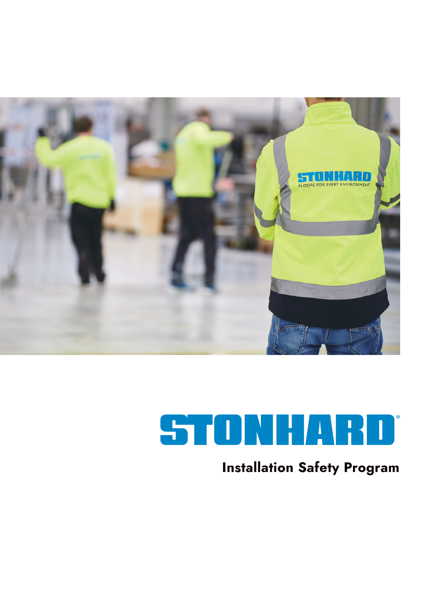

# STONHARD®

# **Installation Safety Program**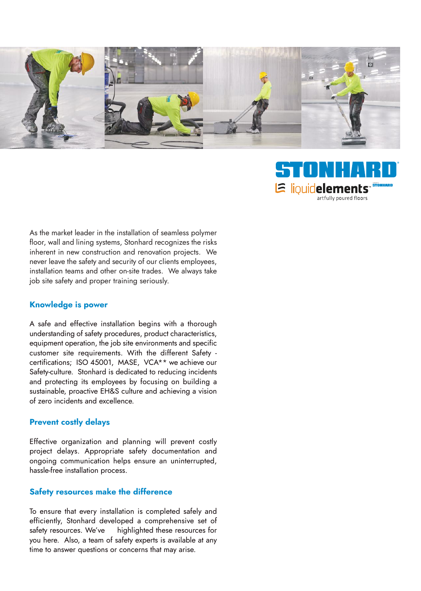

As the market leader in the installation of seamless polymer floor, wall and lining systems, Stonhard recognizes the risks inherent in new construction and renovation projects. We never leave the safety and security of our clients employees, installation teams and other on-site trades. We always take job site safety and proper training seriously.

#### **Knowledge is power**

A safe and effective installation begins with a thorough understanding of safety procedures, product characteristics, equipment operation, the job site environments and specific customer site requirements. With the different Safety certifications; ISO 45001, MASE, VCA\*\* we achieve our Safety-culture. Stonhard is dedicated to reducing incidents and protecting its employees by focusing on building a sustainable, proactive EH&S culture and achieving a vision of zero incidents and excellence.

#### **Prevent costly delays**

Effective organization and planning will prevent costly project delays. Appropriate safety documentation and ongoing communication helps ensure an uninterrupted, hassle-free installation process.

#### **Safety resources make the difference**

To ensure that every installation is completed safely and efficiently, Stonhard developed a comprehensive set of safety resources. We've highlighted these resources for you here. Also, a team of safety experts is available at any time to answer questions or concerns that may arise.

® *a brand of***E** liouidelements artfully poured floors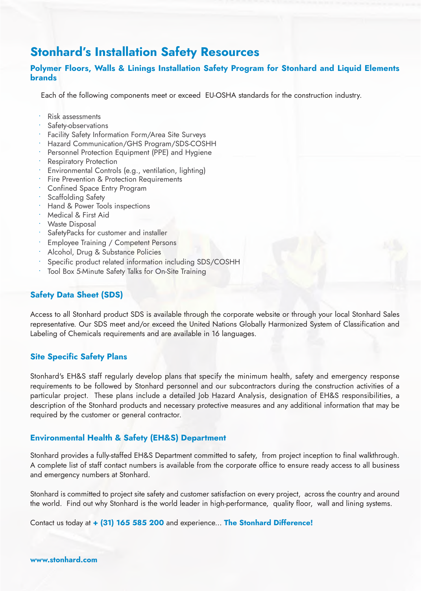### **Stonhard's Installation Safety Resources**

#### **Polymer Floors, Walls & Linings Installation Safety Program for Stonhard and Liquid Elements brands**

Each of the following components meet or exceed EU-OSHA standards for the construction industry.

- Risk assessments
- Safety-observations
- Facility Safety Information Form/Area Site Surveys
- Hazard Communication/GHS Program/SDS-COSHH
- Personnel Protection Equipment (PPE) and Hygiene
- **Respiratory Protection**
- Environmental Controls (e.g., ventilation, lighting)
- Fire Prevention & Protection Requirements
- Confined Space Entry Program
- Scaffolding Safety
- Hand & Power Tools inspections
- Medical & First Aid
- Waste Disposal
- SafetyPacks for customer and installer
- Employee Training / Competent Persons
- Alcohol, Drug & Substance Policies
- Specific product related information including SDS/COSHH
- Tool Box 5-Minute Safety Talks for On-Site Training

#### **Safety Data Sheet (SDS)**

Access to all Stonhard product SDS is available through the corporate website or through your local Stonhard Sales representative. Our SDS meet and/or exceed the United Nations Globally Harmonized System of Classification and Labeling of Chemicals requirements and are available in 16 languages.

#### **Site Specific Safety Plans**

Stonhard's EH&S staff regularly develop plans that specify the minimum health, safety and emergency response requirements to be followed by Stonhard personnel and our subcontractors during the construction activities of a particular project. These plans include a detailed Job Hazard Analysis, designation of EH&S responsibilities, a description of the Stonhard products and necessary protective measures and any additional information that may be required by the customer or general contractor.

#### **Environmental Health & Safety (EH&S) Department**

Stonhard provides a fully-staffed EH&S Department committed to safety, from project inception to final walkthrough. A complete list of staff contact numbers is available from the corporate office to ensure ready access to all business and emergency numbers at Stonhard.

Stonhard is committed to project site safety and customer satisfaction on every project, across the country and around the world. Find out why Stonhard is the world leader in high-performance, quality floor, wall and lining systems.

Contact us today at **+ (31) 165 585 200** and experience... **The Stonhard Difference!**